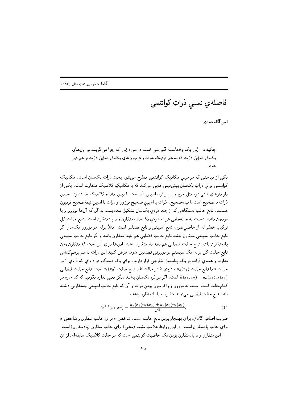فاصلەي نسبى ذراتِ كوانتمى

امير آقامحمدي

چکیده: این یک پادداشتِ آموزشی است در موردِ این که چرا می گویند بوزون های یکسان تمایل دارند که به هم نزدیک شوند و فرمیونهای یکسان تمایل دارند از هم دور شوند .

یکی از مباحثی که در درس مکانیکِ کوانتمی مطرح میشود بحثِ ذراتِ یکسان است. مکانیکِ کوانتمی برایِ ذراتِ یکسان پیشبینی هایی میکند که با مکانیکِ کلاسیک متفاوت است. یکی از پارامترهایِ ذاتی دره مثل جرم و یا بار دره، اسپین آن است. اسپین مشابهِ کلاسیک هم ندارد. اسپین ذرات يا صحيح است يا نيمهصحيح. ذراتِ با اسپينِ صحيح بوزون و ذراتِ با اسپينِ نيمهصحيح فرميون هستند. تابع حالتِ دستگاهی که از چند ذرهیِ یکسان تشکیل شده بسته به آن که آنها بوزون و یا فرمیون باشند نسبت به جابهجایی هر دو ذرهیِ یکسان، متقارن و یا پادمتقارن است. تابع حالتِ کل ترکیبِ خطی|ی از حاصلِ ضربِ تابع اسپینی و تابع فضایی است. مثلاً برایِ دو بوزونِ یکسان اگر تابع حالتِ اسپینی متقارن باشد تابع حالتِ فضایی هم باید متقارن باشد و اگر تابع حالتِ اسپینی پادمتقارن باشد تابع حالتِ فضایی هم باید پادمتقارن باشد. اینها برایِ این است که متقارنبودنِ تابع حالتِ كل براي يک سيستم دو بوزوني تضمين شود . فرض کنيد اين ذرات با هم برهمکنشي ندارند و همهي درات در يک پتانسيل خارجي قرار دارند. براي يک دستگاهِ دو درهاي که درهي 1 در حالتِ a با تابع حالتِ  $u_a(x_1)$  و ذرهي 2 در حالتِ b جالتِ ( $u_b(x_2)$  است، تابع حالتِ فضايى است. اگر دو ذره یکسان باشند دیگر معنی ندارد بگوییم که کدامذره در  $\Psi(x_1,x_2)=u_a(x_1)u_b(x_2)$ کدامحالت است. بسته به بوزون و یا فرمیون بودنِ ذرات و آن که تابع حالتِ اسپینیی چهتقارنیی داشته باشد تابع حالتِ فضایی میتواند متقارن و یا پادمتقارن باشد،

$$
\Psi^{a,s}(x_1,x_2)=\frac{u_a(x_1)u_b(x_2)\pm u_a(x_2)u_b(x_1)}{\sqrt{2}}.
$$
\n(1)

 $a$  ضريبِ اضافى 1/ $\sqrt{2}$  براي بهنجار بودنِ تابع حالت است. شاخص  $s$  براي حالتِ متقارن و شاخص برای حالتِ پادمتقارن است. در این روابط علامتِ مثبت (منفی) برای حالتِ متقارن (پادمتقارن) است. این متقارن و یا پادمتقارن بودنِ یک خاصیتِ کوانتمی است که در حالتِ کلاسیک سابقهای از آن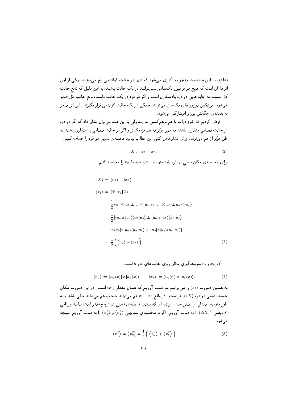نداشتیم. این خاصیت منجر به آثاری میشود که تنها در حالتِ کوانتمی رخ میدهند. یکی از این اثرها آن است که هیچ دو فرمیون یکسانی نمیتوانند در یک حالت باشند، به این دلیل که تابع حالتِ کل نسبت به جابهجایی دو ذره پادمتقارن است و اگر دو ذره در یک حالت باشند، تابع حالتِ کل صفر میشود. برعکس بوزونهای یکسان میتوانند همگی در یک حالتِ کوانتمی قرار بگیرند. این اثر منجر به پدیدهی چگالش بوز و اَبرشارگی میشود.

فرض کردیم که خودِ ذرات با هم برهمکنشی ندارند ولی با این همه میتوان نشان داد که اگر دو ذره در حالتِ فضایبی متقارن باشند به طور مؤثر به هم نزدیکتر و اگر در حالتِ فضایبی پادمتقارن باشند به طور مؤثر از هم دورترند. برای نشاندادن کمّی این مطلب بیایید فاصلهی نسبی دو ذره را حساب کنیم.

$$
X := x_1 - x_2. \tag{2}
$$

برای محاسبه ی مکان نسبی دو دره باید متوسط  $x_1$  و متوسطِ  $x_2$  را محاسبه کنیم.

$$
\langle X \rangle = \langle x_1 \rangle - \langle x_2 \rangle
$$
  
\n
$$
\langle x_1 \rangle = \langle \Psi | x_1 | \Psi \rangle
$$
  
\n
$$
= \frac{1}{2} \langle u_a \otimes u_b \pm u_b \otimes u_a | x_1 | u_a \otimes u_b \pm u_b \otimes u_a \rangle
$$
  
\n
$$
= \frac{1}{2} [\langle u_a | x | u_a \rangle \langle u_b | u_b \rangle \pm \langle u_a | x | u_b \rangle \langle u_b | u_a \rangle
$$
  
\n
$$
\pm \langle u_b | x | u_a \rangle \langle u_a | u_b \rangle + \langle u_b | x | u_b \rangle \langle u_a | u_a \rangle]
$$
  
\n
$$
= \frac{1}{2} ((x_a) + \langle x_b \rangle ). \tag{3}
$$

که 
$$
x_a
$$
و  $x_b$  متوسطگيري مکان روی حالتهاي  $a$  و لاست.

$$
\langle x_a \rangle := \langle u_a(x) | x | u_a(x) \rangle \qquad \langle x_b \rangle := \langle u_b(x) | x | u_b(x) \rangle. \tag{4}
$$

به همین صورت  $\langle x_2 \rangle$  را میتوانیم به دست آوریم که همان مقدار  $\langle x_1 \rangle$  است. در این صورت مکان متوسطِ نسبی دو ذره  $\langle X\rangle$  صفر است. در واقع  $x_1-x_2$  هم میتواند مثبت و هم میتواند منفی باشد و به طور متوسط مقدار آن صفر است. براي آن كه ببينيم فاصلهي نسبي دو ذره چهقدر است بياييد وردايي ، يعني  $(\Delta X)^2$  را به دست آوريم. اگر با محاسبه $\langle x_1^2 \rangle$  مشابهي  $\langle x_1^2 \rangle$  و  $\langle x_2^2 \rangle$  را به دست آوريم، نتيجه، می شود

$$
\left\langle x_1^2 \right\rangle = \left\langle x_2^2 \right\rangle = \frac{1}{2} \left( \left\langle x_a^2 \right\rangle + \left\langle x_b^2 \right\rangle \right) \tag{5}
$$